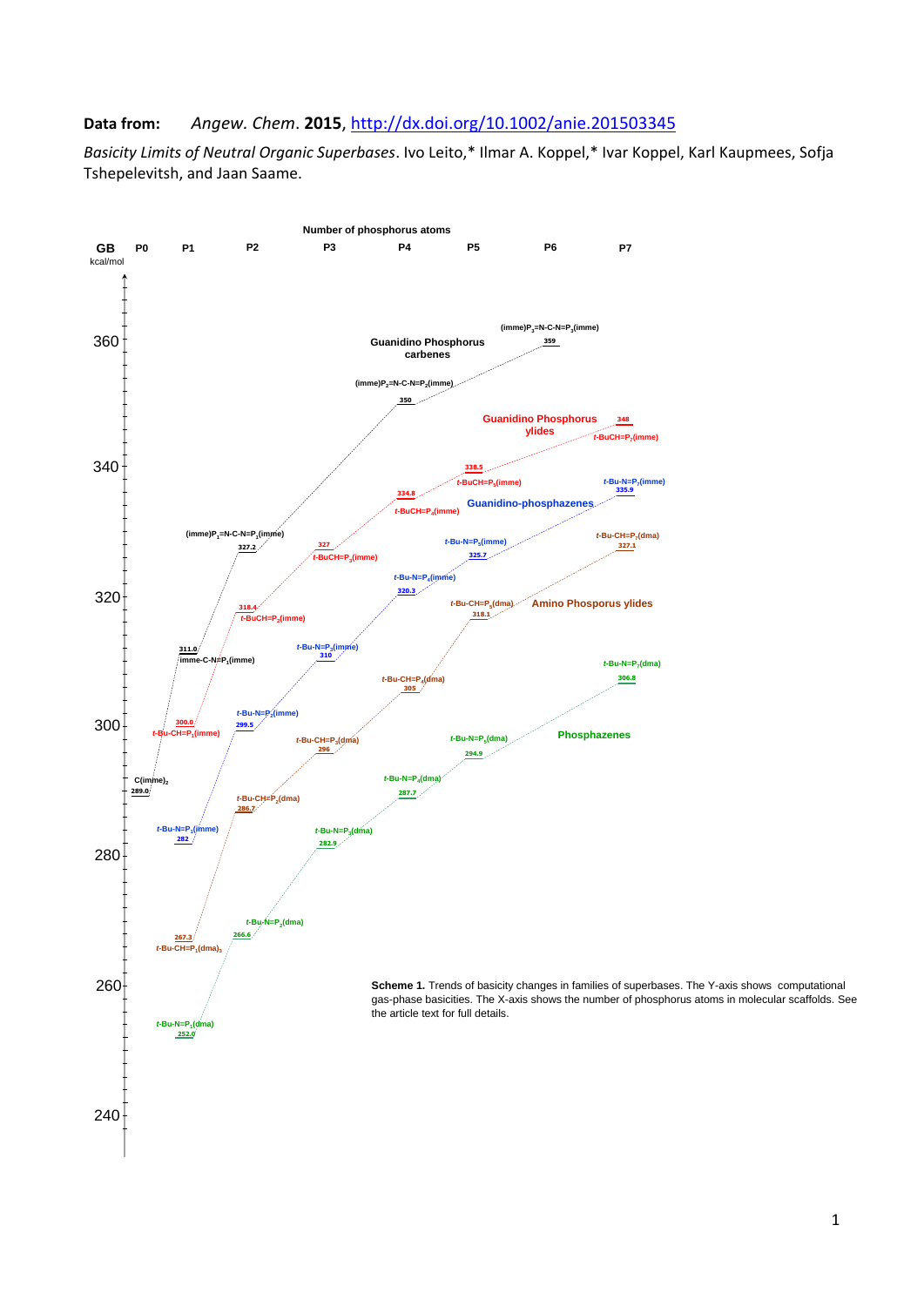## **Data from:** *Angew. Chem*. **2015**,<http://dx.doi.org/10.1002/anie.201503345>

*Basicity Limits of Neutral Organic Superbases*. Ivo Leito,\* Ilmar A. Koppel,\* Ivar Koppel, Karl Kaupmees, Sofja Tshepelevitsh, and Jaan Saame.